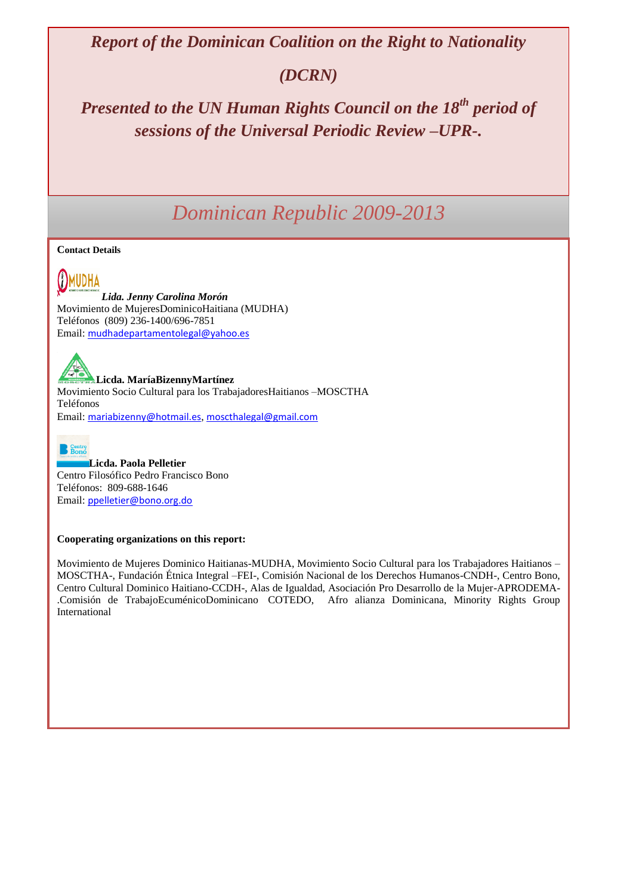*Report of the Dominican Coalition on the Right to Nationality*

# *(DCRN)*

*Presented to the UN Human Rights Council on the 18th period of sessions of the Universal Periodic Review –UPR-.*

# *Dominican Republic 2009-2013*

#### **Contact Details**

(I)MUDHA *Lida. Jenny Carolina Morón* Movimiento de MujeresDominicoHaitiana (MUDHA) Teléfonos (809) 236-1400/696-7851 Email: [mudhadepartamentolegal@yahoo.es](mailto:mudhadepartamentolegal@yahoo.es)

**Licda. MaríaBizennyMartínez** Movimiento Socio Cultural para los TrabajadoresHaitianos –MOSCTHA Teléfonos Email: [mariabizenny@hotmail.es](mailto:mariabizenny@hotmail.es), [moscthalegal@gmail.com](mailto:moscthalegal@gmail.com)



**Licda. Paola Pelletier** Centro Filosófico Pedro Francisco Bono Teléfonos: 809-688-1646 Email: [ppelletier@bono.org.do](mailto:ppelletier@bono.org.do)

#### **Cooperating organizations on this report:**

Movimiento de Mujeres Dominico Haitianas-MUDHA, Movimiento Socio Cultural para los Trabajadores Haitianos – MOSCTHA-, Fundación Étnica Integral –FEI-, Comisión Nacional de los Derechos Humanos-CNDH-, Centro Bono, Centro Cultural Dominico Haitiano-CCDH-, Alas de Igualdad, Asociación Pro Desarrollo de la Mujer-APRODEMA- .Comisión de TrabajoEcuménicoDominicano COTEDO, Afro alianza Dominicana, Minority Rights Group International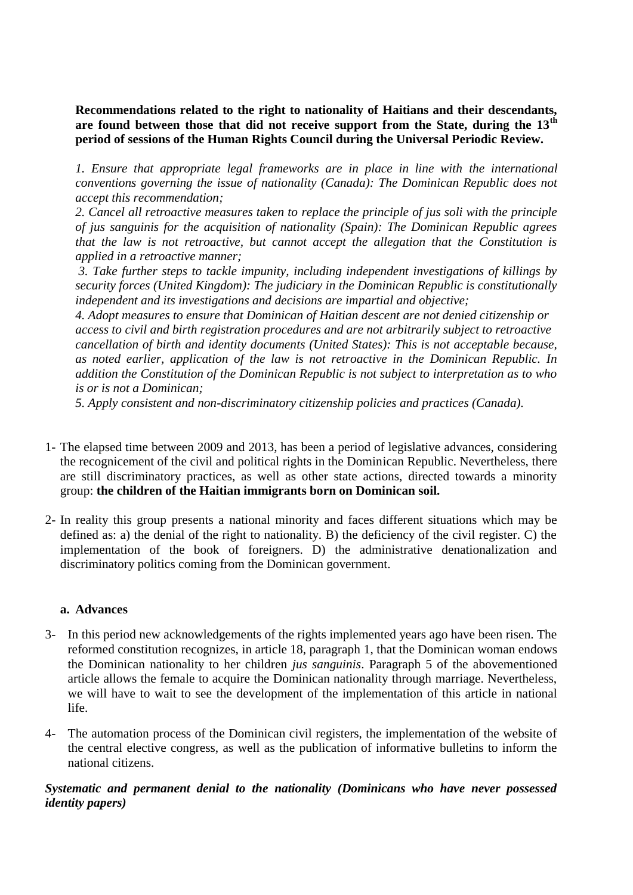**Recommendations related to the right to nationality of Haitians and their descendants, are found between those that did not receive support from the State, during the 13th period of sessions of the Human Rights Council during the Universal Periodic Review.**

*1. Ensure that appropriate legal frameworks are in place in line with the international conventions governing the issue of nationality (Canada): The Dominican Republic does not accept this recommendation;*

*2. Cancel all retroactive measures taken to replace the principle of jus soli with the principle of jus sanguinis for the acquisition of nationality (Spain): The Dominican Republic agrees that the law is not retroactive, but cannot accept the allegation that the Constitution is applied in a retroactive manner;*

*3. Take further steps to tackle impunity, including independent investigations of killings by security forces (United Kingdom): The judiciary in the Dominican Republic is constitutionally independent and its investigations and decisions are impartial and objective;*

*4. Adopt measures to ensure that Dominican of Haitian descent are not denied citizenship or access to civil and birth registration procedures and are not arbitrarily subject to retroactive cancellation of birth and identity documents (United States): This is not acceptable because, as noted earlier, application of the law is not retroactive in the Dominican Republic. In addition the Constitution of the Dominican Republic is not subject to interpretation as to who is or is not a Dominican;*

*5. Apply consistent and non-discriminatory citizenship policies and practices (Canada).*

- 1- The elapsed time between 2009 and 2013, has been a period of legislative advances, considering the recognicement of the civil and political rights in the Dominican Republic. Nevertheless, there are still discriminatory practices, as well as other state actions, directed towards a minority group: **the children of the Haitian immigrants born on Dominican soil.**
- 2- In reality this group presents a national minority and faces different situations which may be defined as: a) the denial of the right to nationality. B) the deficiency of the civil register. C) the implementation of the book of foreigners. D) the administrative denationalization and discriminatory politics coming from the Dominican government.

## **a. Advances**

- 3- In this period new acknowledgements of the rights implemented years ago have been risen. The reformed constitution recognizes, in article 18, paragraph 1, that the Dominican woman endows the Dominican nationality to her children *jus sanguinis*. Paragraph 5 of the abovementioned article allows the female to acquire the Dominican nationality through marriage. Nevertheless, we will have to wait to see the development of the implementation of this article in national life.
- 4- The automation process of the Dominican civil registers, the implementation of the website of the central elective congress, as well as the publication of informative bulletins to inform the national citizens.

# *Systematic and permanent denial to the nationality (Dominicans who have never possessed identity papers)*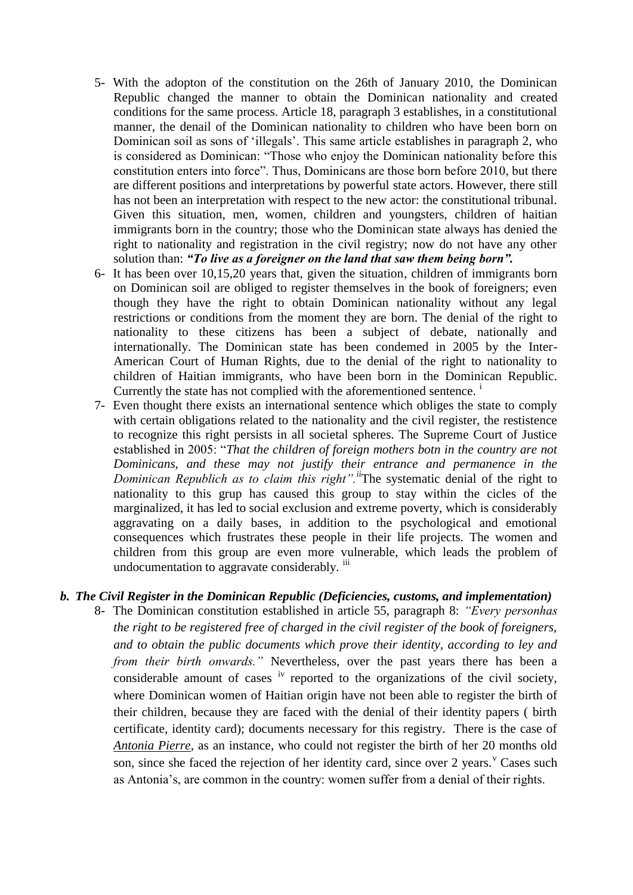- 5- With the adopton of the constitution on the 26th of January 2010, the Dominican Republic changed the manner to obtain the Dominican nationality and created conditions for the same process. Article 18, paragraph 3 establishes, in a constitutional manner, the denail of the Dominican nationality to children who have been born on Dominican soil as sons of 'illegals'. This same article establishes in paragraph 2, who is considered as Dominican: "Those who enjoy the Dominican nationality before this constitution enters into force". Thus, Dominicans are those born before 2010, but there are different positions and interpretations by powerful state actors. However, there still has not been an interpretation with respect to the new actor: the constitutional tribunal. Given this situation, men, women, children and youngsters, children of haitian immigrants born in the country; those who the Dominican state always has denied the right to nationality and registration in the civil registry; now do not have any other solution than: *"To live as a foreigner on the land that saw them being born".*
- 6- It has been over 10,15,20 years that, given the situation, children of immigrants born on Dominican soil are obliged to register themselves in the book of foreigners; even though they have the right to obtain Dominican nationality without any legal restrictions or conditions from the moment they are born. The denial of the right to nationality to these citizens has been a subject of debate, nationally and internationally. The Dominican state has been condemed in 2005 by the Inter-American Court of Human Rights, due to the denial of the right to nationality to children of Haitian immigrants, who have been born in the Dominican Republic. Currently the state has not complied with the aforementioned sentence.<sup>i</sup>
- 7- Even thought there exists an international sentence which obliges the state to comply with certain obligations related to the nationality and the civil register, the restistence to recognize this right persists in all societal spheres. The Supreme Court of Justice established in 2005: "*That the children of foreign mothers botn in the country are not Dominicans, and these may not justify their entrance and permanence in the Dominican Republich as to claim this right".ii*The systematic denial of the right to nationality to this grup has caused this group to stay within the cicles of the marginalized, it has led to social exclusion and extreme poverty, which is considerably aggravating on a daily bases, in addition to the psychological and emotional consequences which frustrates these people in their life projects. The women and children from this group are even more vulnerable, which leads the problem of undocumentation to aggravate considerably. iii

## *b. The Civil Register in the Dominican Republic (Deficiencies, customs, and implementation)*

8- The Dominican constitution established in article 55, paragraph 8: *"Every personhas the right to be registered free of charged in the civil register of the book of foreigners, and to obtain the public documents which prove their identity, according to ley and from their birth onwards."* Nevertheless, over the past years there has been a considerable amount of cases <sup>iv</sup> reported to the organizations of the civil society, where Dominican women of Haitian origin have not been able to register the birth of their children, because they are faced with the denial of their identity papers ( birth certificate, identity card); documents necessary for this registry. There is the case of *Antonia Pierre*, as an instance, who could not register the birth of her 20 months old son, since she faced the rejection of her identity card, since over 2 years. Cases such as Antonia's, are common in the country: women suffer from a denial of their rights.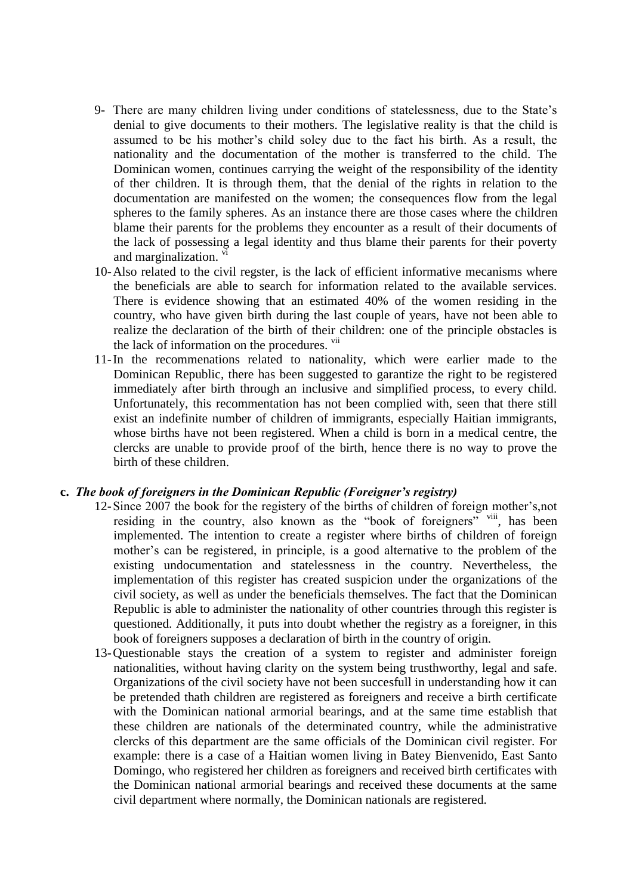- 9- There are many children living under conditions of statelessness, due to the State's denial to give documents to their mothers. The legislative reality is that the child is assumed to be his mother's child soley due to the fact his birth. As a result, the nationality and the documentation of the mother is transferred to the child. The Dominican women, continues carrying the weight of the responsibility of the identity of ther children. It is through them, that the denial of the rights in relation to the documentation are manifested on the women; the consequences flow from the legal spheres to the family spheres. As an instance there are those cases where the children blame their parents for the problems they encounter as a result of their documents of the lack of possessing a legal identity and thus blame their parents for their poverty and marginalization. vi
- 10-Also related to the civil regster, is the lack of efficient informative mecanisms where the beneficials are able to search for information related to the available services. There is evidence showing that an estimated 40% of the women residing in the country, who have given birth during the last couple of years, have not been able to realize the declaration of the birth of their children: one of the principle obstacles is the lack of information on the procedures. <sup>vii</sup>
- 11-In the recommenations related to nationality, which were earlier made to the Dominican Republic, there has been suggested to garantize the right to be registered immediately after birth through an inclusive and simplified process, to every child. Unfortunately, this recommentation has not been complied with, seen that there still exist an indefinite number of children of immigrants, especially Haitian immigrants, whose births have not been registered. When a child is born in a medical centre, the clercks are unable to provide proof of the birth, hence there is no way to prove the birth of these children.

#### **c.** *The book of foreigners in the Dominican Republic (Foreigner's registry)*

- 12-Since 2007 the book for the registery of the births of children of foreign mother's,not residing in the country, also known as the "book of foreigners" viii, has been implemented. The intention to create a register where births of children of foreign mother's can be registered, in principle, is a good alternative to the problem of the existing undocumentation and statelessness in the country. Nevertheless, the implementation of this register has created suspicion under the organizations of the civil society, as well as under the beneficials themselves. The fact that the Dominican Republic is able to administer the nationality of other countries through this register is questioned. Additionally, it puts into doubt whether the registry as a foreigner, in this book of foreigners supposes a declaration of birth in the country of origin.
- 13-Questionable stays the creation of a system to register and administer foreign nationalities, without having clarity on the system being trusthworthy, legal and safe. Organizations of the civil society have not been succesfull in understanding how it can be pretended thath children are registered as foreigners and receive a birth certificate with the Dominican national armorial bearings, and at the same time establish that these children are nationals of the determinated country, while the administrative clercks of this department are the same officials of the Dominican civil register. For example: there is a case of a Haitian women living in Batey Bienvenido, East Santo Domingo, who registered her children as foreigners and received birth certificates with the Dominican national armorial bearings and received these documents at the same civil department where normally, the Dominican nationals are registered.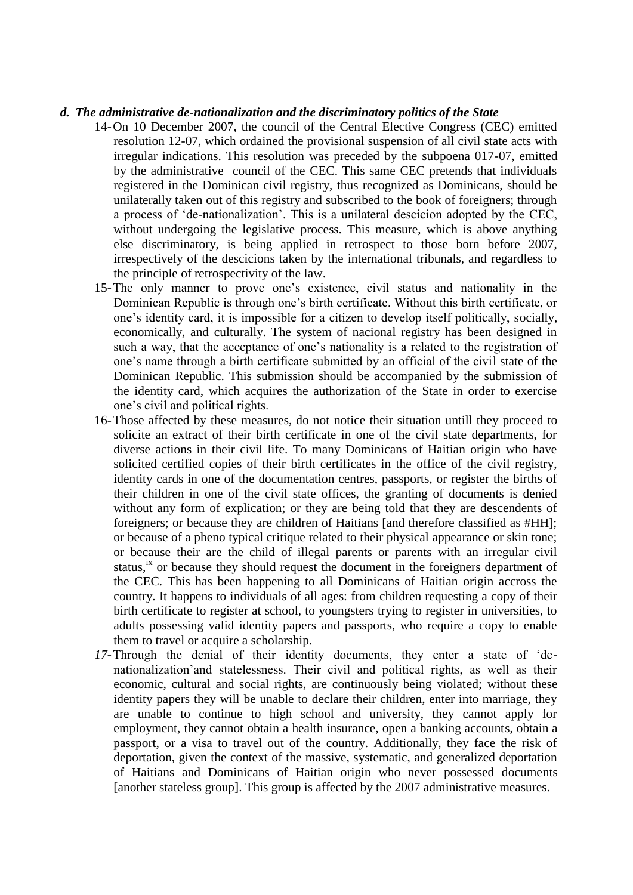#### *d. The administrative de-nationalization and the discriminatory politics of the State*

- 14-On 10 December 2007, the council of the Central Elective Congress (CEC) emitted resolution 12-07, which ordained the provisional suspension of all civil state acts with irregular indications. This resolution was preceded by the subpoena 017-07, emitted by the administrative council of the CEC. This same CEC pretends that individuals registered in the Dominican civil registry, thus recognized as Dominicans, should be unilaterally taken out of this registry and subscribed to the book of foreigners; through a process of 'de-nationalization'. This is a unilateral descicion adopted by the CEC, without undergoing the legislative process. This measure, which is above anything else discriminatory, is being applied in retrospect to those born before 2007, irrespectively of the descicions taken by the international tribunals, and regardless to the principle of retrospectivity of the law.
- 15-The only manner to prove one's existence, civil status and nationality in the Dominican Republic is through one's birth certificate. Without this birth certificate, or one's identity card, it is impossible for a citizen to develop itself politically, socially, economically, and culturally. The system of nacional registry has been designed in such a way, that the acceptance of one's nationality is a related to the registration of one's name through a birth certificate submitted by an official of the civil state of the Dominican Republic. This submission should be accompanied by the submission of the identity card, which acquires the authorization of the State in order to exercise one's civil and political rights.
- 16-Those affected by these measures, do not notice their situation untill they proceed to solicite an extract of their birth certificate in one of the civil state departments, for diverse actions in their civil life. To many Dominicans of Haitian origin who have solicited certified copies of their birth certificates in the office of the civil registry, identity cards in one of the documentation centres, passports, or register the births of their children in one of the civil state offices, the granting of documents is denied without any form of explication; or they are being told that they are descendents of foreigners; or because they are children of Haitians [and therefore classified as #HH]; or because of a pheno typical critique related to their physical appearance or skin tone; or because their are the child of illegal parents or parents with an irregular civil status,  $\alpha$  is the vecause they should request the document in the foreigners department of the CEC. This has been happening to all Dominicans of Haitian origin accross the country. It happens to individuals of all ages: from children requesting a copy of their birth certificate to register at school, to youngsters trying to register in universities, to adults possessing valid identity papers and passports, who require a copy to enable them to travel or acquire a scholarship.
- *17-*Through the denial of their identity documents, they enter a state of 'denationalization'and statelessness. Their civil and political rights, as well as their economic, cultural and social rights, are continuously being violated; without these identity papers they will be unable to declare their children, enter into marriage, they are unable to continue to high school and university, they cannot apply for employment, they cannot obtain a health insurance, open a banking accounts, obtain a passport, or a visa to travel out of the country. Additionally, they face the risk of deportation, given the context of the massive, systematic, and generalized deportation of Haitians and Dominicans of Haitian origin who never possessed documents [another stateless group]. This group is affected by the 2007 administrative measures.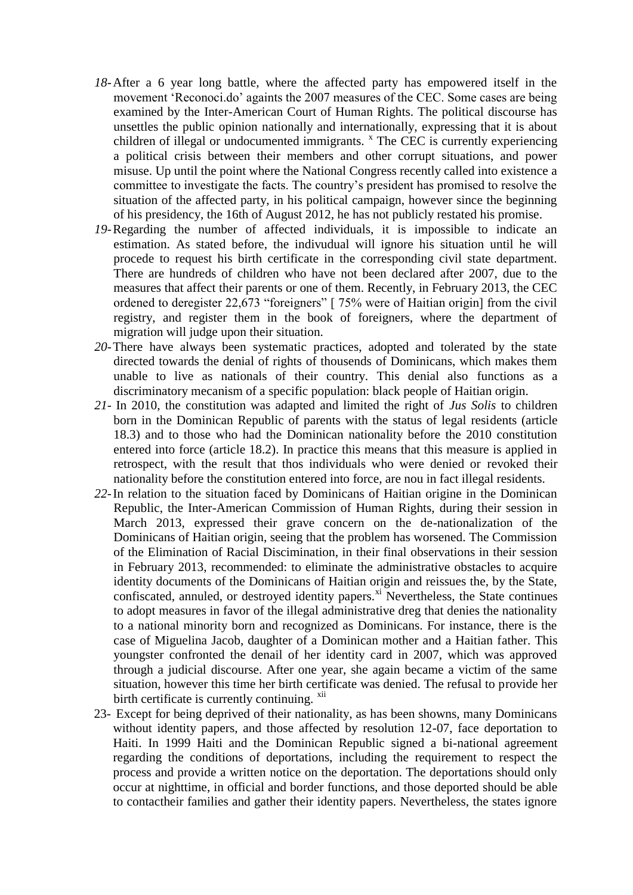- *18-*After a 6 year long battle, where the affected party has empowered itself in the movement 'Reconoci.do' againts the 2007 measures of the CEC. Some cases are being examined by the Inter-American Court of Human Rights. The political discourse has unsettles the public opinion nationally and internationally, expressing that it is about children of illegal or undocumented immigrants. <sup>x</sup> The CEC is currently experiencing a political crisis between their members and other corrupt situations, and power misuse. Up until the point where the National Congress recently called into existence a committee to investigate the facts. The country's president has promised to resolve the situation of the affected party, in his political campaign, however since the beginning of his presidency, the 16th of August 2012, he has not publicly restated his promise.
- *19-*Regarding the number of affected individuals, it is impossible to indicate an estimation. As stated before, the indivudual will ignore his situation until he will procede to request his birth certificate in the corresponding civil state department. There are hundreds of children who have not been declared after 2007, due to the measures that affect their parents or one of them. Recently, in February 2013, the CEC ordened to deregister 22,673 "foreigners" [ 75% were of Haitian origin] from the civil registry, and register them in the book of foreigners, where the department of migration will judge upon their situation.
- *20-*There have always been systematic practices, adopted and tolerated by the state directed towards the denial of rights of thousends of Dominicans, which makes them unable to live as nationals of their country. This denial also functions as a discriminatory mecanism of a specific population: black people of Haitian origin.
- *21-* In 2010, the constitution was adapted and limited the right of *Jus Solis* to children born in the Dominican Republic of parents with the status of legal residents (article 18.3) and to those who had the Dominican nationality before the 2010 constitution entered into force (article 18.2). In practice this means that this measure is applied in retrospect, with the result that thos individuals who were denied or revoked their nationality before the constitution entered into force, are nou in fact illegal residents.
- *22-*In relation to the situation faced by Dominicans of Haitian origine in the Dominican Republic, the Inter-American Commission of Human Rights, during their session in March 2013, expressed their grave concern on the de-nationalization of the Dominicans of Haitian origin, seeing that the problem has worsened. The Commission of the Elimination of Racial Discimination, in their final observations in their session in February 2013, recommended: to eliminate the administrative obstacles to acquire identity documents of the Dominicans of Haitian origin and reissues the, by the State, confiscated, annuled, or destroyed identity papers.<sup>xi</sup> Nevertheless, the State continues to adopt measures in favor of the illegal administrative dreg that denies the nationality to a national minority born and recognized as Dominicans. For instance, there is the case of Miguelina Jacob, daughter of a Dominican mother and a Haitian father. This youngster confronted the denail of her identity card in 2007, which was approved through a judicial discourse. After one year, she again became a victim of the same situation, however this time her birth certificate was denied. The refusal to provide her birth certificate is currently continuing.  $x^{iii}$
- 23- Except for being deprived of their nationality, as has been showns, many Dominicans without identity papers, and those affected by resolution 12-07, face deportation to Haiti. In 1999 Haiti and the Dominican Republic signed a bi-national agreement regarding the conditions of deportations, including the requirement to respect the process and provide a written notice on the deportation. The deportations should only occur at nighttime, in official and border functions, and those deported should be able to contactheir families and gather their identity papers. Nevertheless, the states ignore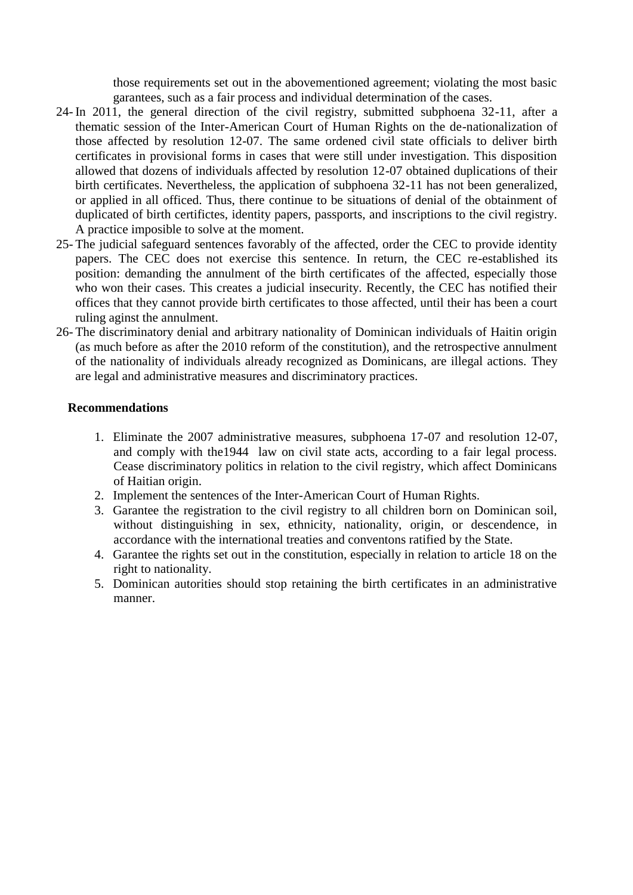those requirements set out in the abovementioned agreement; violating the most basic garantees, such as a fair process and individual determination of the cases.

- 24- In 2011, the general direction of the civil registry, submitted subphoena 32-11, after a thematic session of the Inter-American Court of Human Rights on the de-nationalization of those affected by resolution 12-07. The same ordened civil state officials to deliver birth certificates in provisional forms in cases that were still under investigation. This disposition allowed that dozens of individuals affected by resolution 12-07 obtained duplications of their birth certificates. Nevertheless, the application of subphoena 32-11 has not been generalized, or applied in all officed. Thus, there continue to be situations of denial of the obtainment of duplicated of birth certifictes, identity papers, passports, and inscriptions to the civil registry. A practice imposible to solve at the moment.
- 25- The judicial safeguard sentences favorably of the affected, order the CEC to provide identity papers. The CEC does not exercise this sentence. In return, the CEC re-established its position: demanding the annulment of the birth certificates of the affected, especially those who won their cases. This creates a judicial insecurity. Recently, the CEC has notified their offices that they cannot provide birth certificates to those affected, until their has been a court ruling aginst the annulment.
- 26- The discriminatory denial and arbitrary nationality of Dominican individuals of Haitin origin (as much before as after the 2010 reform of the constitution), and the retrospective annulment of the nationality of individuals already recognized as Dominicans, are illegal actions. They are legal and administrative measures and discriminatory practices.

# **Recommendations**

- 1. Eliminate the 2007 administrative measures, subphoena 17-07 and resolution 12-07, and comply with the1944 law on civil state acts, according to a fair legal process. Cease discriminatory politics in relation to the civil registry, which affect Dominicans of Haitian origin.
- 2. Implement the sentences of the Inter-American Court of Human Rights.
- 3. Garantee the registration to the civil registry to all children born on Dominican soil, without distinguishing in sex, ethnicity, nationality, origin, or descendence, in accordance with the international treaties and conventons ratified by the State.
- 4. Garantee the rights set out in the constitution, especially in relation to article 18 on the right to nationality.
- 5. Dominican autorities should stop retaining the birth certificates in an administrative manner.